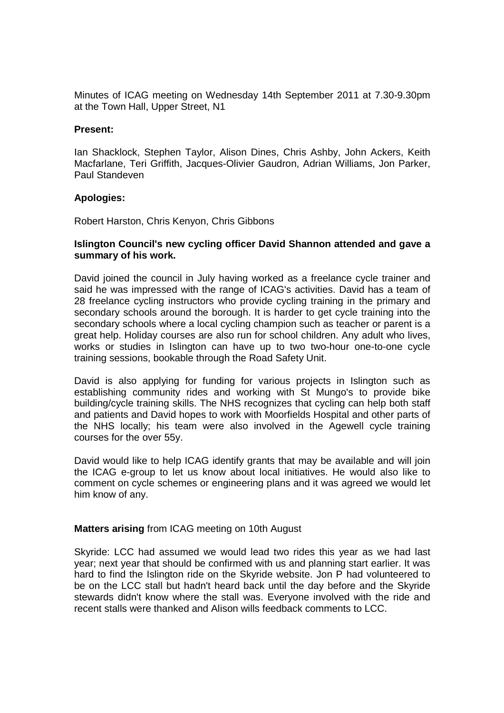Minutes of ICAG meeting on Wednesday 14th September 2011 at 7.30-9.30pm at the Town Hall, Upper Street, N1

## **Present:**

Ian Shacklock, Stephen Taylor, Alison Dines, Chris Ashby, John Ackers, Keith Macfarlane, Teri Griffith, Jacques-Olivier Gaudron, Adrian Williams, Jon Parker, Paul Standeven

# **Apologies:**

Robert Harston, Chris Kenyon, Chris Gibbons

## **Islington Council's new cycling officer David Shannon attended and gave a summary of his work.**

David joined the council in July having worked as a freelance cycle trainer and said he was impressed with the range of ICAG's activities. David has a team of 28 freelance cycling instructors who provide cycling training in the primary and secondary schools around the borough. It is harder to get cycle training into the secondary schools where a local cycling champion such as teacher or parent is a great help. Holiday courses are also run for school children. Any adult who lives, works or studies in Islington can have up to two two-hour one-to-one cycle training sessions, bookable through the Road Safety Unit.

David is also applying for funding for various projects in Islington such as establishing community rides and working with St Mungo's to provide bike building/cycle training skills. The NHS recognizes that cycling can help both staff and patients and David hopes to work with Moorfields Hospital and other parts of the NHS locally; his team were also involved in the Agewell cycle training courses for the over 55y.

David would like to help ICAG identify grants that may be available and will join the ICAG e-group to let us know about local initiatives. He would also like to comment on cycle schemes or engineering plans and it was agreed we would let him know of any.

# **Matters arising** from ICAG meeting on 10th August

Skyride: LCC had assumed we would lead two rides this year as we had last year; next year that should be confirmed with us and planning start earlier. It was hard to find the Islington ride on the Skyride website. Jon P had volunteered to be on the LCC stall but hadn't heard back until the day before and the Skyride stewards didn't know where the stall was. Everyone involved with the ride and recent stalls were thanked and Alison wills feedback comments to LCC.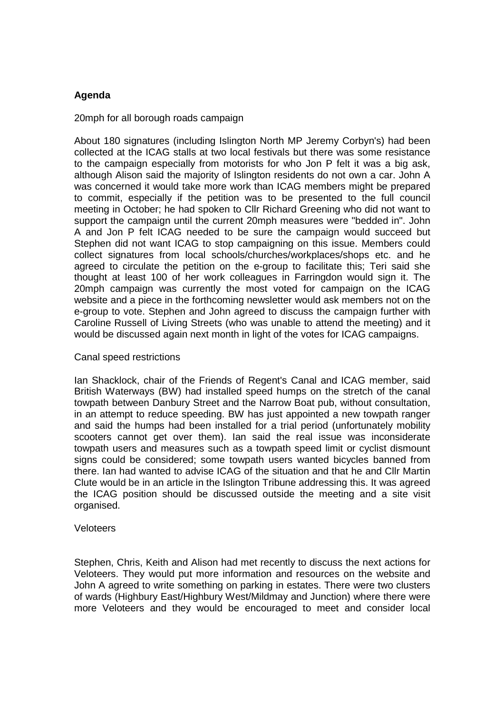# **Agenda**

# 20mph for all borough roads campaign

About 180 signatures (including Islington North MP Jeremy Corbyn's) had been collected at the ICAG stalls at two local festivals but there was some resistance to the campaign especially from motorists for who Jon P felt it was a big ask, although Alison said the majority of Islington residents do not own a car. John A was concerned it would take more work than ICAG members might be prepared to commit, especially if the petition was to be presented to the full council meeting in October; he had spoken to Cllr Richard Greening who did not want to support the campaign until the current 20mph measures were "bedded in". John A and Jon P felt ICAG needed to be sure the campaign would succeed but Stephen did not want ICAG to stop campaigning on this issue. Members could collect signatures from local schools/churches/workplaces/shops etc. and he agreed to circulate the petition on the e-group to facilitate this; Teri said she thought at least 100 of her work colleagues in Farringdon would sign it. The 20mph campaign was currently the most voted for campaign on the ICAG website and a piece in the forthcoming newsletter would ask members not on the e-group to vote. Stephen and John agreed to discuss the campaign further with Caroline Russell of Living Streets (who was unable to attend the meeting) and it would be discussed again next month in light of the votes for ICAG campaigns.

# Canal speed restrictions

Ian Shacklock, chair of the Friends of Regent's Canal and ICAG member, said British Waterways (BW) had installed speed humps on the stretch of the canal towpath between Danbury Street and the Narrow Boat pub, without consultation, in an attempt to reduce speeding. BW has just appointed a new towpath ranger and said the humps had been installed for a trial period (unfortunately mobility scooters cannot get over them). Ian said the real issue was inconsiderate towpath users and measures such as a towpath speed limit or cyclist dismount signs could be considered; some towpath users wanted bicycles banned from there. Ian had wanted to advise ICAG of the situation and that he and Cllr Martin Clute would be in an article in the Islington Tribune addressing this. It was agreed the ICAG position should be discussed outside the meeting and a site visit organised.

# Veloteers

Stephen, Chris, Keith and Alison had met recently to discuss the next actions for Veloteers. They would put more information and resources on the website and John A agreed to write something on parking in estates. There were two clusters of wards (Highbury East/Highbury West/Mildmay and Junction) where there were more Veloteers and they would be encouraged to meet and consider local